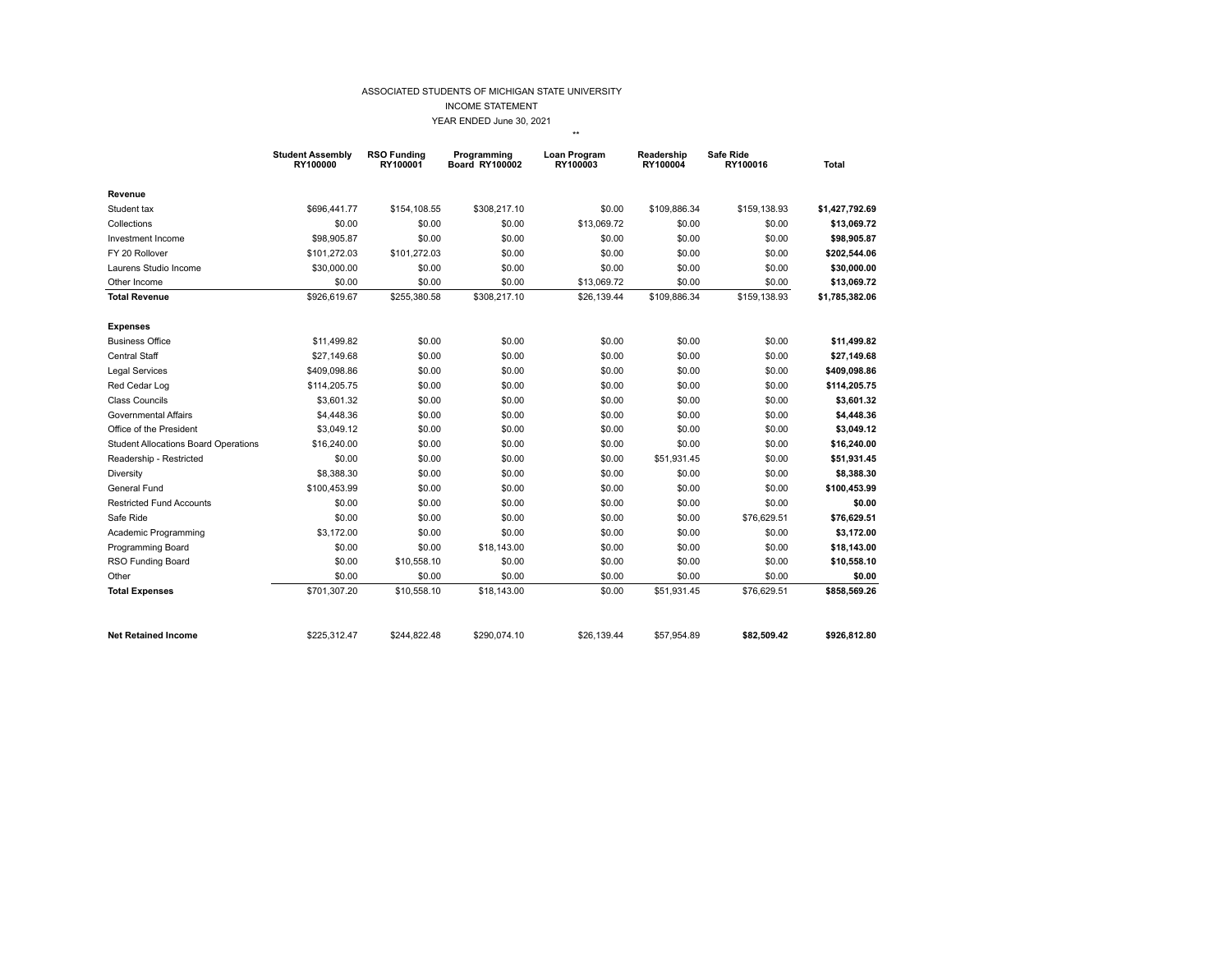## ASSOCIATED STUDENTS OF MICHIGAN STATE UNIVERSITY

INCOME STATEMENT

YEAR ENDED June 30, 2021

\*\*

|                                             | <b>Student Assembly</b><br>RY100000 | <b>RSO Funding</b><br>RY100001 | Programming<br><b>Board RY100002</b> | Loan Program<br>RY100003 | Readership<br>RY100004 | Safe Ride<br>RY100016 | <b>Total</b>   |
|---------------------------------------------|-------------------------------------|--------------------------------|--------------------------------------|--------------------------|------------------------|-----------------------|----------------|
| Revenue                                     |                                     |                                |                                      |                          |                        |                       |                |
| Student tax                                 | \$696,441.77                        | \$154,108.55                   | \$308,217.10                         | \$0.00                   | \$109,886.34           | \$159,138.93          | \$1,427,792.69 |
| Collections                                 | \$0.00                              | \$0.00                         | \$0.00                               | \$13,069.72              | \$0.00                 | \$0.00                | \$13,069.72    |
| Investment Income                           | \$98,905.87                         | \$0.00                         | \$0.00                               | \$0.00                   | \$0.00                 | \$0.00                | \$98,905.87    |
| FY 20 Rollover                              | \$101,272.03                        | \$101,272.03                   | \$0.00                               | \$0.00                   | \$0.00                 | \$0.00                | \$202,544.06   |
| Laurens Studio Income                       | \$30,000.00                         | \$0.00                         | \$0.00                               | \$0.00                   | \$0.00                 | \$0.00                | \$30,000.00    |
| Other Income                                | \$0.00                              | \$0.00                         | \$0.00                               | \$13,069.72              | \$0.00                 | \$0.00                | \$13,069.72    |
| <b>Total Revenue</b>                        | \$926,619.67                        | \$255,380.58                   | \$308,217.10                         | \$26,139.44              | \$109,886.34           | \$159,138.93          | \$1,785,382.06 |
| <b>Expenses</b>                             |                                     |                                |                                      |                          |                        |                       |                |
| <b>Business Office</b>                      | \$11,499.82                         | \$0.00                         | \$0.00                               | \$0.00                   | \$0.00                 | \$0.00                | \$11,499.82    |
| Central Staff                               | \$27,149.68                         | \$0.00                         | \$0.00                               | \$0.00                   | \$0.00                 | \$0.00                | \$27,149.68    |
| <b>Legal Services</b>                       | \$409,098.86                        | \$0.00                         | \$0.00                               | \$0.00                   | \$0.00                 | \$0.00                | \$409,098.86   |
| Red Cedar Log                               | \$114,205.75                        | \$0.00                         | \$0.00                               | \$0.00                   | \$0.00                 | \$0.00                | \$114,205.75   |
| Class Councils                              | \$3,601.32                          | \$0.00                         | \$0.00                               | \$0.00                   | \$0.00                 | \$0.00                | \$3,601.32     |
| Governmental Affairs                        | \$4,448.36                          | \$0.00                         | \$0.00                               | \$0.00                   | \$0.00                 | \$0.00                | \$4,448.36     |
| Office of the President                     | \$3,049.12                          | \$0.00                         | \$0.00                               | \$0.00                   | \$0.00                 | \$0.00                | \$3,049.12     |
| <b>Student Allocations Board Operations</b> | \$16,240.00                         | \$0.00                         | \$0.00                               | \$0.00                   | \$0.00                 | \$0.00                | \$16,240.00    |
| Readership - Restricted                     | \$0.00                              | \$0.00                         | \$0.00                               | \$0.00                   | \$51,931.45            | \$0.00                | \$51,931.45    |
| Diversity                                   | \$8,388.30                          | \$0.00                         | \$0.00                               | \$0.00                   | \$0.00                 | \$0.00                | \$8,388.30     |
| General Fund                                | \$100,453.99                        | \$0.00                         | \$0.00                               | \$0.00                   | \$0.00                 | \$0.00                | \$100,453.99   |
| <b>Restricted Fund Accounts</b>             | \$0.00                              | \$0.00                         | \$0.00                               | \$0.00                   | \$0.00                 | \$0.00                | \$0.00         |
| Safe Ride                                   | \$0.00                              | \$0.00                         | \$0.00                               | \$0.00                   | \$0.00                 | \$76,629.51           | \$76,629.51    |
| Academic Programming                        | \$3,172.00                          | \$0.00                         | \$0.00                               | \$0.00                   | \$0.00                 | \$0.00                | \$3,172.00     |
| Programming Board                           | \$0.00                              | \$0.00                         | \$18,143.00                          | \$0.00                   | \$0.00                 | \$0.00                | \$18,143.00    |
| RSO Funding Board                           | \$0.00                              | \$10,558.10                    | \$0.00                               | \$0.00                   | \$0.00                 | \$0.00                | \$10,558.10    |
| Other                                       | \$0.00                              | \$0.00                         | \$0.00                               | \$0.00                   | \$0.00                 | \$0.00                | \$0.00         |
| <b>Total Expenses</b>                       | \$701,307.20                        | \$10,558.10                    | \$18,143.00                          | \$0.00                   | \$51,931.45            | \$76,629.51           | \$858,569.26   |
| <b>Net Retained Income</b>                  | \$225,312.47                        | \$244,822.48                   | \$290,074.10                         | \$26,139.44              | \$57,954.89            | \$82,509.42           | \$926,812.80   |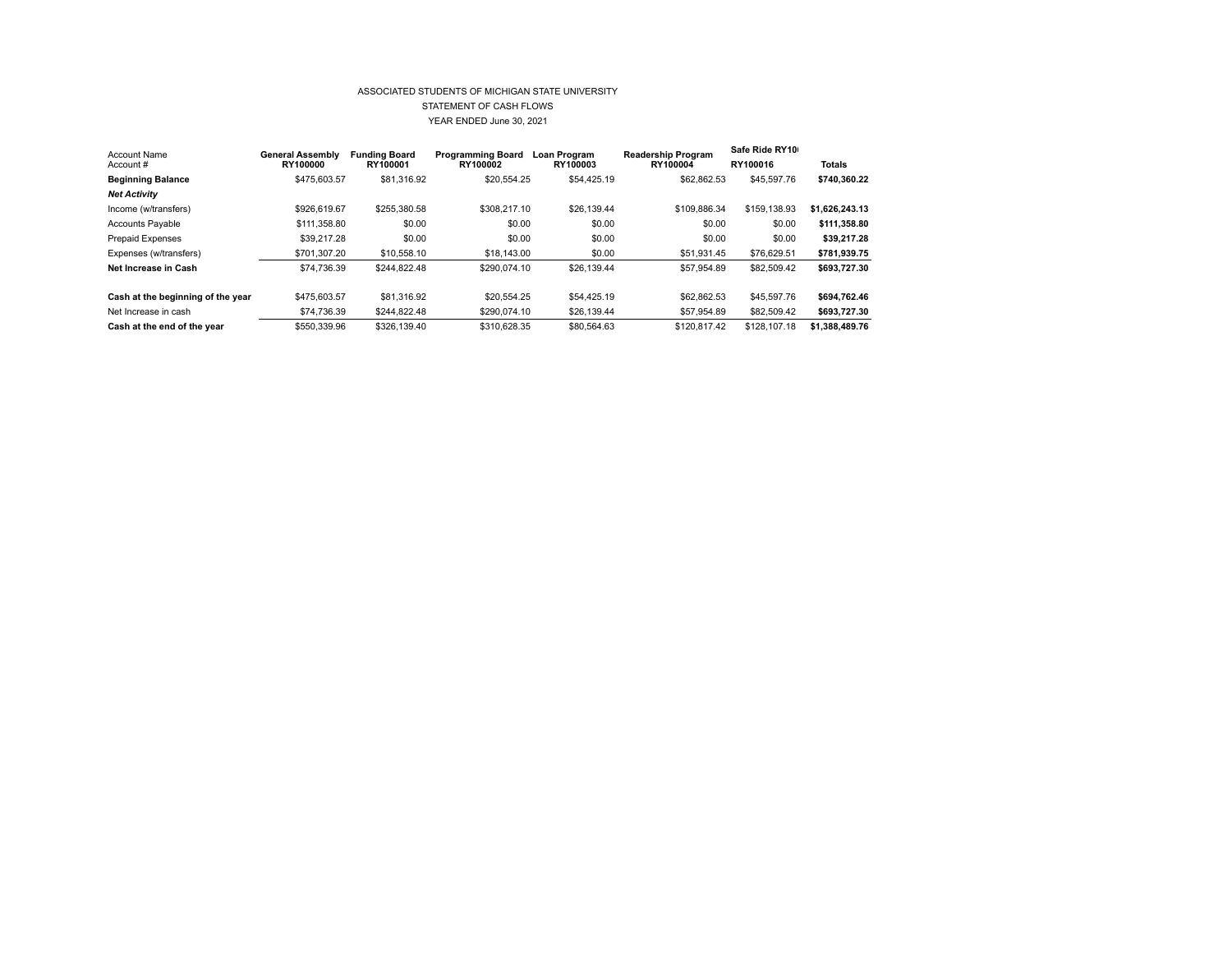## ASSOCIATED STUDENTS OF MICHIGAN STATE UNIVERSITY STATEMENT OF CASH FLOWS YEAR ENDED June 30, 2021

| Account Name                      | <b>General Assembly</b> | <b>Funding Board</b> | Programming Board | Loan Program | <b>Readership Program</b> | Safe Ride RY10 |                |
|-----------------------------------|-------------------------|----------------------|-------------------|--------------|---------------------------|----------------|----------------|
| Account#                          | RY100000                | RY100001             | RY100002          | RY100003     | RY100004                  | RY100016       | Totals         |
| <b>Beginning Balance</b>          | \$475,603.57            | \$81,316.92          | \$20,554.25       | \$54,425.19  | \$62,862.53               | \$45,597.76    | \$740.360.22   |
| <b>Net Activity</b>               |                         |                      |                   |              |                           |                |                |
| Income (w/transfers)              | \$926,619.67            | \$255,380.58         | \$308,217.10      | \$26,139,44  | \$109,886.34              | \$159,138.93   | \$1.626.243.13 |
| <b>Accounts Payable</b>           | \$111,358.80            | \$0.00               | \$0.00            | \$0.00       | \$0.00                    | \$0.00         | \$111.358.80   |
| <b>Prepaid Expenses</b>           | \$39,217.28             | \$0.00               | \$0.00            | \$0.00       | \$0.00                    | \$0.00         | \$39.217.28    |
| Expenses (w/transfers)            | \$701.307.20            | \$10,558.10          | \$18,143.00       | \$0.00       | \$51,931.45               | \$76,629.51    | \$781.939.75   |
| Net Increase in Cash              | \$74.736.39             | \$244.822.48         | \$290,074.10      | \$26,139.44  | \$57,954.89               | \$82,509.42    | \$693,727.30   |
|                                   |                         |                      |                   |              |                           |                |                |
| Cash at the beginning of the year | \$475,603.57            | \$81,316.92          | \$20.554.25       | \$54,425.19  | \$62,862.53               | \$45,597.76    | \$694.762.46   |
| Net Increase in cash              | \$74,736.39             | \$244,822.48         | \$290.074.10      | \$26,139.44  | \$57,954.89               | \$82,509.42    | \$693,727.30   |
| Cash at the end of the year       | \$550,339.96            | \$326,139.40         | \$310,628.35      | \$80.564.63  | \$120,817.42              | \$128,107.18   | \$1.388.489.76 |